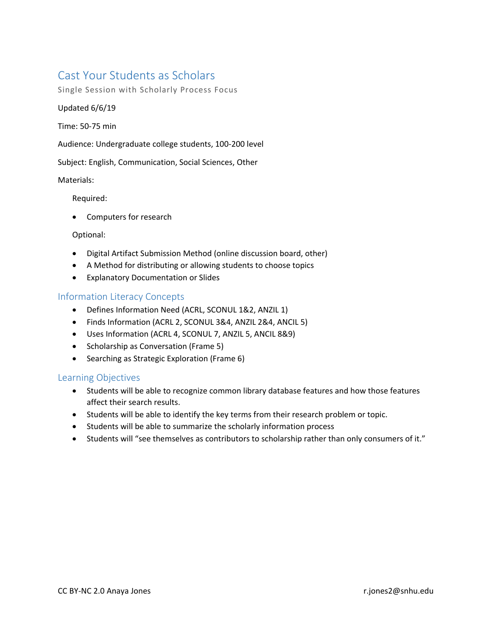# Cast Your Students as Scholars

Single Session with Scholarly Process Focus

## Updated 6/6/19

Time: 50-75 min

Audience: Undergraduate college students, 100-200 level

Subject: English, Communication, Social Sciences, Other

## Materials:

Required:

• Computers for research

#### Optional:

- Digital Artifact Submission Method (online discussion board, other)
- A Method for distributing or allowing students to choose topics
- Explanatory Documentation or Slides

# Information Literacy Concepts

- Defines Information Need (ACRL, SCONUL 1&2, ANZIL 1)
- Finds Information (ACRL 2, SCONUL 3&4, ANZIL 2&4, ANCIL 5)
- Uses Information (ACRL 4, SCONUL 7, ANZIL 5, ANCIL 8&9)
- Scholarship as Conversation (Frame 5)
- Searching as Strategic Exploration (Frame 6)

# Learning Objectives

- Students will be able to recognize common library database features and how those features affect their search results.
- Students will be able to identify the key terms from their research problem or topic.
- Students will be able to summarize the scholarly information process
- Students will "see themselves as contributors to scholarship rather than only consumers of it."